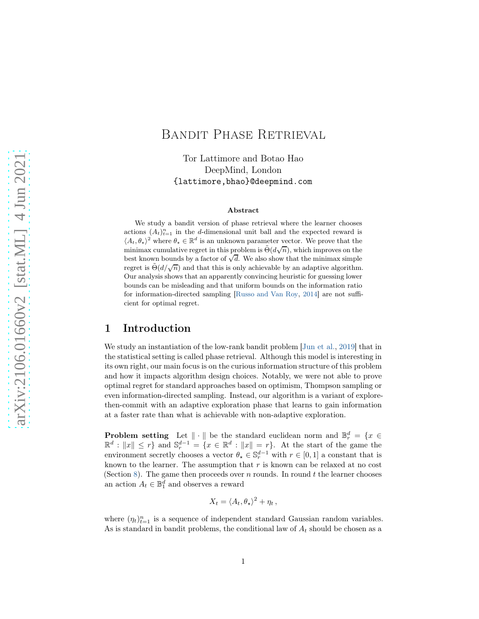# Bandit Phase Retrieval

Tor Lattimore and Botao Hao DeepMind, London {lattimore,bhao}@deepmind.com

#### Abstract

We study a bandit version of phase retrieval where the learner chooses actions  $(A_t)_{t=1}^n$  in the d-dimensional unit ball and the expected reward is  $\langle A_t, \theta_\star \rangle^2$  where  $\theta_\star \in \mathbb{R}^d$  is an unknown parameter vector. We prove that the minimax cumulative regret in this problem is  $\tilde{\Theta}(d\sqrt{n})$ , which improves on the best known bounds by a factor of  $\sqrt{d}$ . We also show that the minimax simple regret is  $\tilde{\Theta}(d/\sqrt{n})$  and that this is only achievable by an adaptive algorithm. Our analysis shows that an apparently convincing heuristic for guessing lower bounds can be misleading and that uniform bounds on the information ratio for information-directed sampling [\[Russo and Van Roy](#page-14-0), [2014\]](#page-14-0) are not sufficient for optimal regret.

## 1 Introduction

We study an instantiation of the low-rank bandit problem [\[Jun et al.](#page-13-0), [2019\]](#page-13-0) that in the statistical setting is called phase retrieval. Although this model is interesting in its own right, our main focus is on the curious information structure of this problem and how it impacts algorithm design choices. Notably, we were not able to prove optimal regret for standard approaches based on optimism, Thompson sampling or even information-directed sampling. Instead, our algorithm is a variant of explorethen-commit with an adaptive exploration phase that learns to gain information at a faster rate than what is achievable with non-adaptive exploration.

**Problem setting** Let  $\|\cdot\|$  be the standard euclidean norm and  $\mathbb{B}_r^d = \{x \in$  $\mathbb{R}^d : ||x|| \leq r$  and  $\mathbb{S}_r^{d-1} = \{x \in \mathbb{R}^d : ||x|| = r\}$ . At the start of the game the environment secretly chooses a vector  $\theta_{\star} \in \mathbb{S}_r^{d-1}$  with  $r \in [0,1]$  a constant that is known to the learner. The assumption that  $r$  is known can be relaxed at no cost (Section [8\)](#page-11-0). The game then proceeds over  $n$  rounds. In round  $t$  the learner chooses an action  $A_t \in \mathbb{B}_1^d$  and observes a reward

$$
X_t = \langle A_t, \theta_\star \rangle^2 + \eta_t \,,
$$

where  $(\eta_t)_{t=1}^n$  is a sequence of independent standard Gaussian random variables. As is standard in bandit problems, the conditional law of  $A_t$  should be chosen as a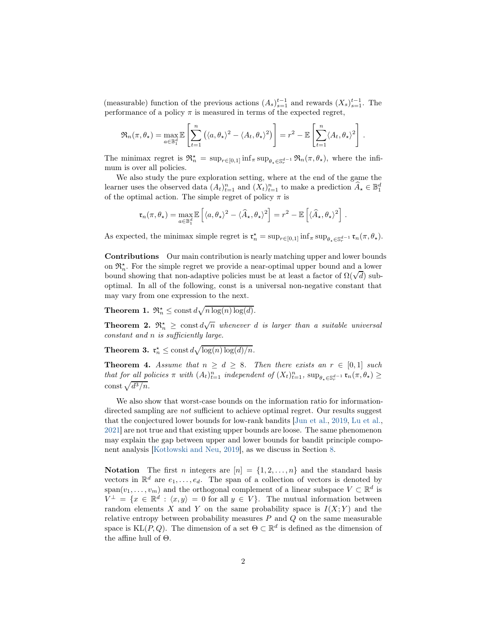(measurable) function of the previous actions  $(A_s)_{s=1}^{t-1}$  and rewards  $(X_s)_{s=1}^{t-1}$ . The performance of a policy  $\pi$  is measured in terms of the expected regret,

$$
\mathfrak{R}_n(\pi,\theta_\star) = \max_{a \in \mathbb{B}_1^d} \mathbb{E}\left[\sum_{t=1}^n (\langle a,\theta_\star\rangle^2 - \langle A_t,\theta_\star\rangle^2)\right] = r^2 - \mathbb{E}\left[\sum_{t=1}^n \langle A_t,\theta_\star\rangle^2\right].
$$

The minimax regret is  $\mathfrak{R}_n^* = \sup_{r \in [0,1]} \inf_{\pi} \sup_{\theta_* \in \mathbb{S}_r^{d-1}} \mathfrak{R}_n(\pi, \theta_*)$ , where the infimum is over all policies.

We also study the pure exploration setting, where at the end of the game the learner uses the observed data  $(A_t)_{t=1}^n$  and  $(X_t)_{t=1}^n$  to make a prediction  $\widehat{A}_\star \in \mathbb{B}^d_1$ of the optimal action. The simple regret of policy  $\pi$  is

$$
\mathfrak{r}_n(\pi,\theta_\star) = \max_{a \in \mathbb{B}_1^d} \mathbb{E}\left[ \langle a,\theta_\star \rangle^2 - \langle \widehat{A}_\star,\theta_\star \rangle^2 \right] = r^2 - \mathbb{E}\left[ \langle \widehat{A}_\star,\theta_\star \rangle^2 \right].
$$

As expected, the minimax simple regret is  $\mathfrak{r}_n^* = \sup_{r \in [0,1]} \inf_{\pi} \sup_{\theta_* \in \mathbb{S}_r^{d-1}} \mathfrak{r}_n(\pi, \theta_*)$ .

Contributions Our main contribution is nearly matching upper and lower bounds on  $\mathfrak{R}_n^*$ . For the simple regret we provide a near-optimal upper bound and a lower bound showing that non-adaptive policies must be at least a factor of  $\Omega(\sqrt{d})$  suboptimal. In all of the following, const is a universal non-negative constant that may vary from one expression to the next.

<span id="page-1-0"></span>**Theorem 1.**  $\mathfrak{R}_n^* \leq \text{const } d\sqrt{n \log(n) \log(d)}$ .

<span id="page-1-2"></span>**Theorem 2.**  $\mathfrak{R}_n^{\star} \geq \text{const } d\sqrt{n}$  whenever d is larger than a suitable universal constant and n is sufficiently large.

<span id="page-1-1"></span>**Theorem 3.**  $\mathfrak{r}_n^* \leq \text{const } d \sqrt{\log(n) \log(d)/n}$ .

<span id="page-1-3"></span>**Theorem 4.** Assume that  $n \geq d \geq 8$ . Then there exists an  $r \in [0,1]$  such that for all policies  $\pi$  with  $(A_t)_{t=1}^n$  independent of  $(X_t)_{t=1}^n$ ,  $\sup_{\theta_* \in \mathbb{S}_r^{d-1}} \mathfrak{r}_n(\pi, \theta_*) \geq$ const  $\sqrt{d^3/n}$ .

We also show that worst-case bounds on the information ratio for informationdirected sampling are not sufficient to achieve optimal regret. Our results suggest that the conjectured lower bounds for low-rank bandits [\[Jun et al.,](#page-13-0) [2019](#page-13-0), [Lu et al.,](#page-14-1) [2021\]](#page-14-1) are not true and that existing upper bounds are loose. The same phenomenon may explain the gap between upper and lower bounds for bandit principle component analysis [\[Kotłowski and Neu](#page-13-1), [2019](#page-13-1)], as we discuss in Section [8.](#page-11-0)

**Notation** The first *n* integers are  $[n] = \{1, 2, ..., n\}$  and the standard basis vectors in  $\mathbb{R}^d$  are  $e_1, \ldots, e_d$ . The span of a collection of vectors is denoted by span $(v_1, \ldots, v_m)$  and the orthogonal complement of a linear subspace  $V \subset \mathbb{R}^d$  is  $V^{\perp} = \{x \in \mathbb{R}^d : \langle x, y \rangle = 0 \text{ for all } y \in V\}.$  The mutual information between random elements X and Y on the same probability space is  $I(X; Y)$  and the relative entropy between probability measures  $P$  and  $Q$  on the same measurable space is  $KL(P, Q)$ . The dimension of a set  $\Theta \subset \mathbb{R}^d$  is defined as the dimension of the affine hull of Θ.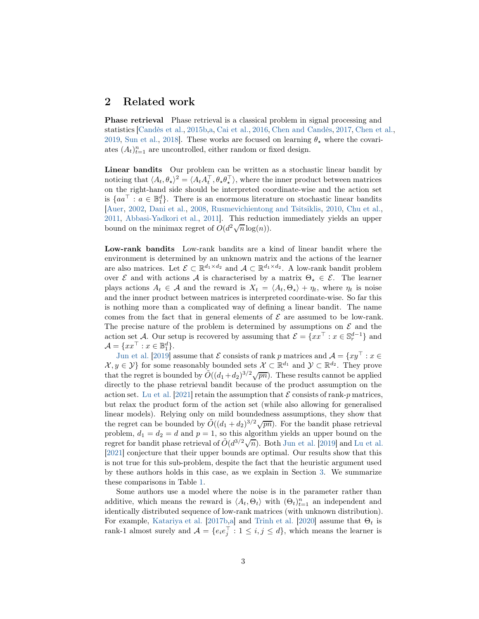### 2 Related work

Phase retrieval Phase retrieval is a classical problem in signal processing and statistics [\[Candès et al.](#page-12-0), [2015b](#page-12-0)[,a](#page-12-1), [Cai et al.,](#page-12-2) [2016,](#page-12-2) [Chen and Candès,](#page-13-2) [2017,](#page-13-2) [Chen et al.,](#page-13-3) [2019,](#page-13-3) [Sun et al.,](#page-14-2) [2018](#page-14-2)]. These works are focused on learning  $\theta_{\star}$  where the covariates  $(A_t)_{t=1}^n$  are uncontrolled, either random or fixed design.

Linear bandits Our problem can be written as a stochastic linear bandit by noticing that  $\langle A_t, \theta_\star \rangle^2 = \langle A_t A_t^\top, \theta_\star \theta_\star^\top \rangle$ , where the inner product between matrices on the right-hand side should be interpreted coordinate-wise and the action set is  ${aa<sup>T</sup> : a \in \mathbb{B}_1^d}$ . There is an enormous literature on stochastic linear bandits [\[Auer,](#page-12-3) [2002,](#page-12-3) [Dani et al.](#page-13-4), [2008,](#page-13-4) [Rusmevichientong and Tsitsiklis](#page-14-3), [2010,](#page-14-3) [Chu et al.,](#page-13-5) [2011,](#page-13-5) [Abbasi-Yadkori et al.](#page-12-4), [2011](#page-12-4)]. This reduction immediately yields an upper bound on the minimax regret of  $O(d^2\sqrt{n}\log(n))$ .

Low-rank bandits Low-rank bandits are a kind of linear bandit where the environment is determined by an unknown matrix and the actions of the learner are also matrices. Let  $\mathcal{E} \subset \mathbb{R}^{d_1 \times d_2}$  and  $\mathcal{A} \subset \mathbb{R}^{d_1 \times d_2}$ . A low-rank bandit problem over  $\mathcal E$  and with actions A is characterised by a matrix  $\Theta_{\star} \in \mathcal E$ . The learner plays actions  $A_t \in \mathcal{A}$  and the reward is  $X_t = \langle A_t, \Theta_\star \rangle + \eta_t$ , where  $\eta_t$  is noise and the inner product between matrices is interpreted coordinate-wise. So far this is nothing more than a complicated way of defining a linear bandit. The name comes from the fact that in general elements of  $\mathcal E$  are assumed to be low-rank. The precise nature of the problem is determined by assumptions on  $\mathcal E$  and the action set A. Our setup is recovered by assuming that  $\mathcal{E} = \{xx^\top : x \in \mathbb{S}_r^{d-1}\}\$  and  $\mathcal{A} = \{xx^\top : x \in \mathbb{B}_1^d\}.$ 

[Jun et al.](#page-13-0) [\[2019\]](#page-13-0) assume that  $\mathcal E$  consists of rank p matrices and  $\mathcal A = \{xy^\top : x \in$  $\mathcal{X}, y \in \mathcal{Y}$  for some reasonably bounded sets  $\mathcal{X} \subset \mathbb{R}^{d_1}$  and  $\mathcal{Y} \subset \mathbb{R}^{d_2}$ . They prove that the regret is bounded by  $\tilde{O}((d_1+d_2)^{3/2}\sqrt{pn})$ . These results cannot be applied directly to the phase retrieval bandit because of the product assumption on the action set. [Lu et al.](#page-14-1) [\[2021\]](#page-14-1) retain the assumption that  $\mathcal E$  consists of rank-p matrices, but relax the product form of the action set (while also allowing for generalised linear models). Relying only on mild boundedness assumptions, they show that the regret can be bounded by  $\tilde{O}((d_1 + d_2)^{3/2}\sqrt{pn})$ . For the bandit phase retrieval problem,  $d_1 = d_2 = d$  and  $p = 1$ , so this algorithm yields an upper bound on the regret for bandit phase retrieval of  $\tilde{O}(d^{3/2}\sqrt{n})$ . Both [Jun et al.](#page-13-0) [\[2019\]](#page-13-0) and [Lu et al.](#page-14-1) [\[2021\]](#page-14-1) conjecture that their upper bounds are optimal. Our results show that this is not true for this sub-problem, despite the fact that the heuristic argument used by these authors holds in this case, as we explain in Section [3.](#page-3-0) We summarize these comparisons in Table [1.](#page-3-1)

Some authors use a model where the noise is in the parameter rather than additive, which means the reward is  $\langle A_t, \Theta_t \rangle$  with  $(\Theta_t)_{t=1}^n$  an independent and identically distributed sequence of low-rank matrices (with unknown distribution). For example, [Katariya et al.](#page-13-6) [\[2017b](#page-13-6)[,a\]](#page-13-7) and [Trinh et al.](#page-14-4) [\[2020\]](#page-14-4) assume that  $\Theta_t$  is rank-1 almost surely and  $A = \{e_i e_j^{\top} : 1 \leq i, j \leq d\}$ , which means the learner is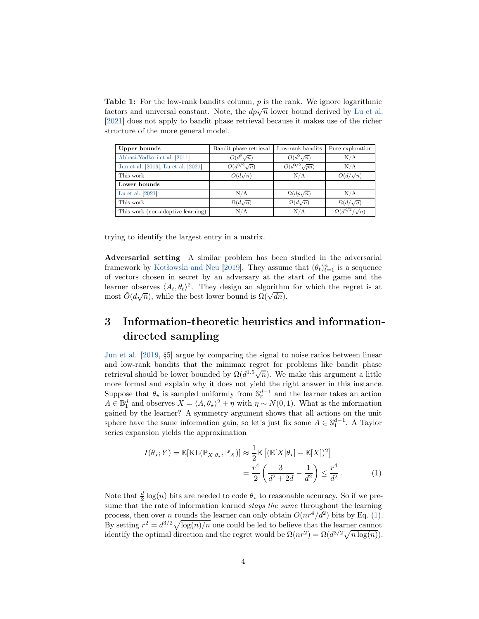<span id="page-3-1"></span>**Table 1:** For the low-rank bandits column,  $p$  is the rank. We ignore logarithmic factors and universal constant. Note, the  $d\vec{p}\sqrt{n}$  lower bound derived by [Lu et al.](#page-14-1) [\[2021\]](#page-14-1) does not apply to bandit phase retrieval because it makes use of the richer structure of the more general model.

| Upper bounds                        | Bandit phase retrieval | Low-rank bandits      | Pure exploration           |
|-------------------------------------|------------------------|-----------------------|----------------------------|
| Abbasi-Yadkori et al. [2011]        | $O(d^2\sqrt{n})$       | $O(d^2\sqrt{n})$      | N/A                        |
| Jun et al. [2019], Lu et al. [2021] | $O(d^{3/2}\sqrt{n})$   | $O(d^{3/2}\sqrt{pn})$ | N/A                        |
| This work                           | $O(d\sqrt{n})$         | N/A                   | $O(d/\sqrt{n})$            |
| Lower bounds                        |                        |                       |                            |
| Lu et al. [2021]                    | N/A                    | $\Omega(dp\sqrt{n})$  | N/A                        |
| This work                           | $\Omega(d\sqrt{n})$    | $\Omega(d\sqrt{n})$   | $\Omega(d/\sqrt{n})$       |
| This work (non-adaptive learning)   | N/A                    | N/A                   | $\Omega(d^{3/2}/\sqrt{n})$ |

trying to identify the largest entry in a matrix.

Adversarial setting A similar problem has been studied in the adversarial framework by [Kotłowski and Neu](#page-13-1) [\[2019\]](#page-13-1). They assume that  $(\theta_t)_{t=1}^n$  is a sequence of vectors chosen in secret by an adversary at the start of the game and the learner observes  $\langle A_t, \theta_t \rangle^2$ . They design an algorithm for which the regret is at most  $\tilde{O}(d\sqrt{n})$ , while the best lower bound is  $\Omega(\sqrt{dn})$ .

# <span id="page-3-0"></span>3 Information-theoretic heuristics and informationdirected sampling

[Jun et al.](#page-13-0) [\[2019,](#page-13-0) §5] argue by comparing the signal to noise ratios between linear and low-rank bandits that the minimax regret for problems like bandit phase retrieval should be lower bounded by  $\Omega(d^{1.5}\sqrt{n})$ . We make this argument a little more formal and explain why it does not yield the right answer in this instance. Suppose that  $\theta_{\star}$  is sampled uniformly from  $\mathbb{S}^{d-1}_{r}$  and the learner takes an action  $A \in \mathbb{B}_1^d$  and observes  $X = \langle A, \theta_\star \rangle^2 + \eta$  with  $\eta \sim N(0, 1)$ . What is the information gained by the learner? A symmetry argument shows that all actions on the unit sphere have the same information gain, so let's just fix some  $A \in \mathbb{S}_1^{d-1}$ . A Taylor series expansion yields the approximation

<span id="page-3-2"></span>
$$
I(\theta_{\star}; Y) = \mathbb{E}[\mathrm{KL}(\mathbb{P}_{X|\theta_{\star}}, \mathbb{P}_{X})] \approx \frac{1}{2} \mathbb{E}\left[ (\mathbb{E}[X|\theta_{\star}] - \mathbb{E}[X])^{2} \right]
$$

$$
= \frac{r^{4}}{2} \left( \frac{3}{d^{2} + 2d} - \frac{1}{d^{2}} \right) \leq \frac{r^{4}}{d^{2}}.
$$
 (1)

Note that  $\frac{d}{2} \log(n)$  bits are needed to code  $\theta_{\star}$  to reasonable accuracy. So if we presume that the rate of information learned *stays the same* throughout the learning process, then over *n* rounds the learner can only obtain  $O(nr^4/d^2)$  bits by Eq. [\(1\)](#page-3-2). By setting  $r^2 = d^{3/2}\sqrt{\log(n)/n}$  one could be led to believe that the learner cannot identify the optimal direction and the regret would be  $\Omega(nr^2) = \Omega(d^{3/2}\sqrt{n \log(n)})$ .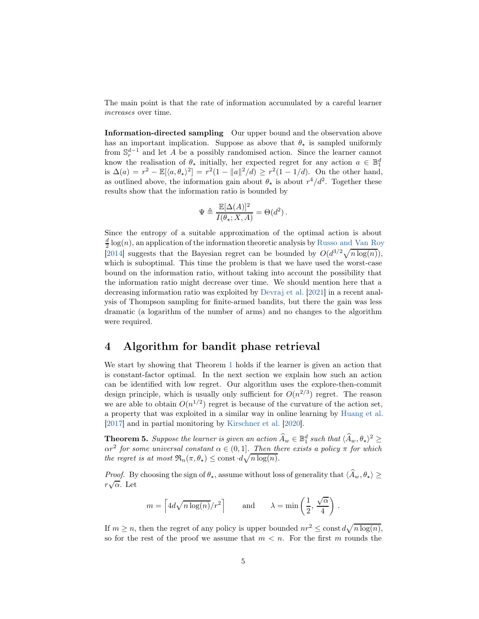The main point is that the rate of information accumulated by a careful learner increases over time.

Information-directed sampling Our upper bound and the observation above has an important implication. Suppose as above that  $\theta_{\star}$  is sampled uniformly from  $\mathbb{S}_r^{d-1}$  and let A be a possibly randomised action. Since the learner cannot know the realisation of  $\theta_{\star}$  initially, her expected regret for any action  $a \in \mathbb{B}_1^d$ is  $\Delta(a) = r^2 - \mathbb{E}[\langle a, \theta_\star \rangle^2] = r^2(1 - \|a\|^2/d) \ge r^2(1 - 1/d)$ . On the other hand, as outlined above, the information gain about  $\theta_{\star}$  is about  $r^4/d^2$ . Together these results show that the information ratio is bounded by

$$
\Psi \triangleq \frac{\mathbb{E}[\Delta(A)]^2}{I(\theta_\star;X,A)} = \Theta(d^2) \,.
$$

Since the entropy of a suitable approximation of the optimal action is about  $\frac{d}{2}$  log(n), an application of the information theoretic analysis by [Russo and Van Roy](#page-14-0) [\[2014\]](#page-14-0) suggests that the Bayesian regret can be bounded by  $O(d^{3/2}\sqrt{n \log(n)})$ , which is suboptimal. This time the problem is that we have used the worst-case bound on the information ratio, without taking into account the possibility that the information ratio might decrease over time. We should mention here that a decreasing information ratio was exploited by [Devraj et al.](#page-13-8) [\[2021](#page-13-8)] in a recent analysis of Thompson sampling for finite-armed bandits, but there the gain was less dramatic (a logarithm of the number of arms) and no changes to the algorithm were required.

### 4 Algorithm for bandit phase retrieval

We start by showing that Theorem [1](#page-1-0) holds if the learner is given an action that is constant-factor optimal. In the next section we explain how such an action can be identified with low regret. Our algorithm uses the explore-then-commit design principle, which is usually only sufficient for  $O(n^{2/3})$  regret. The reason we are able to obtain  $O(n^{1/2})$  regret is because of the curvature of the action set, a property that was exploited in a similar way in online learning by [Huang et al.](#page-13-9) [\[2017\]](#page-13-9) and in partial monitoring by [Kirschner et al.](#page-13-10) [\[2020\]](#page-13-10).

<span id="page-4-0"></span>**Theorem 5.** Suppose the learner is given an action  $\widehat{A}_w \in \mathbb{B}_1^d$  such that  $\langle \widehat{A}_w, \theta_{\star} \rangle^2 \geq$  $\alpha r^2$  for some universal constant  $\alpha \in (0,1]$ . Then there exists a policy  $\pi$  for which the regret is at most  $\Re_n(\pi, \theta_\star) \leq \text{const} \cdot d \sqrt{n \log(n)}$ .

*Proof.* By choosing the sign of  $\theta_{\star}$ , assume without loss of generality that  $\langle \hat{A}_w, \theta_{\star} \rangle \ge$  $r\sqrt{\alpha}$ . Let

$$
m = \left\lceil 4d\sqrt{n\log(n)}/r^2 \right\rceil \qquad \text{and} \qquad \lambda = \min\left(\frac{1}{2}, \frac{\sqrt{\alpha}}{4}\right).
$$

If  $m \ge n$ , then the regret of any policy is upper bounded  $nr^2 \le \text{const } d\sqrt{n \log(n)}$ , so for the rest of the proof we assume that  $m < n$ . For the first m rounds the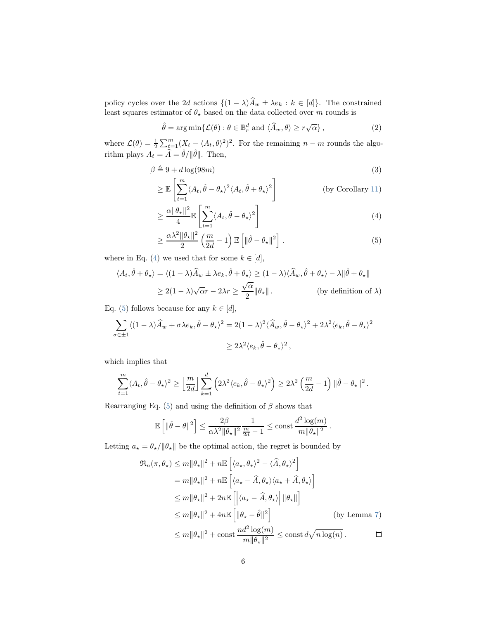policy cycles over the 2d actions  $\{(1 - \lambda)A_w \pm \lambda e_k : k \in [d]\}.$  The constrained least squares estimator of  $\theta_{\star}$  based on the data collected over m rounds is

$$
\hat{\theta} = \arg\min \{ \mathcal{L}(\theta) : \theta \in \mathbb{B}_r^d \text{ and } \langle \hat{A}_w, \theta \rangle \ge r\sqrt{\alpha} \},\tag{2}
$$

where  $\mathcal{L}(\theta) = \frac{1}{2} \sum_{t=1}^{m} (X_t - \langle A_t, \theta \rangle^2)^2$ . For the remaining  $n - m$  rounds the algorithm plays  $A_t = \hat{A} = \hat{\theta} / ||\hat{\theta}||$ . Then,

$$
\beta \triangleq 9 + d \log(98m) \tag{3}
$$

$$
\geq \mathbb{E}\left[\sum_{t=1}^{m} \langle A_t, \hat{\theta} - \theta_\star \rangle^2 \langle A_t, \hat{\theta} + \theta_\star \rangle^2\right]
$$
 (by Corollary 11)

<span id="page-5-0"></span>
$$
\geq \frac{\alpha \|\theta_{\star}\|^2}{4} \mathbb{E}\left[\sum_{t=1}^m \langle A_t, \hat{\theta} - \theta_{\star} \rangle^2\right]
$$
(4)

<span id="page-5-1"></span>
$$
\geq \frac{\alpha \lambda^2 \|\theta_{\star}\|^2}{2} \left(\frac{m}{2d} - 1\right) \mathbb{E}\left[\|\hat{\theta} - \theta_{\star}\|^2\right].
$$
 (5)

where in Eq. [\(4\)](#page-5-0) we used that for some  $k \in [d]$ ,

$$
\langle A_t, \hat{\theta} + \theta_\star \rangle = \langle (1 - \lambda) \hat{A}_w \pm \lambda e_k, \hat{\theta} + \theta_\star \rangle \ge (1 - \lambda) \langle \hat{A}_w, \hat{\theta} + \theta_\star \rangle - \lambda ||\hat{\theta} + \theta_\star||
$$
  
 
$$
\ge 2(1 - \lambda)\sqrt{\alpha}r - 2\lambda r \ge \frac{\sqrt{\alpha}}{2} ||\theta_\star||. \qquad \text{(by definition of } \lambda\text{)}
$$

Eq. [\(5\)](#page-5-1) follows because for any  $k \in [d]$ ,

$$
\sum_{\sigma \in \pm 1} \langle (1 - \lambda) \hat{A}_w + \sigma \lambda e_k, \hat{\theta} - \theta_\star \rangle^2 = 2(1 - \lambda)^2 \langle \hat{A}_w, \hat{\theta} - \theta_\star \rangle^2 + 2\lambda^2 \langle e_k, \hat{\theta} - \theta_\star \rangle^2
$$
  

$$
\geq 2\lambda^2 \langle e_k, \hat{\theta} - \theta_\star \rangle^2,
$$

which implies that

$$
\sum_{t=1}^m \langle A_t, \hat{\theta} - \theta_\star \rangle^2 \ge \left[ \frac{m}{2d} \right] \sum_{k=1}^d \left( 2\lambda^2 \langle e_k, \hat{\theta} - \theta_\star \rangle^2 \right) \ge 2\lambda^2 \left( \frac{m}{2d} - 1 \right) \| \hat{\theta} - \theta_\star \|^2.
$$

Rearranging Eq. [\(5\)](#page-5-1) and using the definition of  $\beta$  shows that

$$
\mathbb{E}\left[\|\hat{\theta}-\theta\|^2\right] \leq \frac{2\beta}{\alpha\lambda^2\|\theta_\star\|^2}\frac{1}{\frac{m}{2d}-1} \leq \mathrm{const}\,\frac{d^2\log(m)}{m\|\theta_\star\|^2}.
$$

Letting  $a_\star = \theta_\star / ||\theta_\star||$  be the optimal action, the regret is bounded by

$$
\mathfrak{R}_{n}(\pi,\theta_{\star}) \leq m \|\theta_{\star}\|^{2} + n \mathbb{E} \left[ \langle a_{\star}, \theta_{\star} \rangle^{2} - \langle \widehat{A}, \theta_{\star} \rangle^{2} \right]
$$
\n
$$
= m \|\theta_{\star}\|^{2} + n \mathbb{E} \left[ \langle a_{\star} - \widehat{A}, \theta_{\star} \rangle \langle a_{\star} + \widehat{A}, \theta_{\star} \rangle \right]
$$
\n
$$
\leq m \|\theta_{\star}\|^{2} + 2n \mathbb{E} \left[ \langle a_{\star} - \widehat{A}, \theta_{\star} \rangle \middle| \|\theta_{\star}\|\right]
$$
\n
$$
\leq m \|\theta_{\star}\|^{2} + 4n \mathbb{E} \left[ \|\theta_{\star} - \widehat{\theta}\|^{2} \right] \qquad \text{(by Lemma 7)}
$$
\n
$$
\leq m \|\theta_{\star}\|^{2} + \text{const} \frac{n d^{2} \log(m)}{m \|\theta_{\star}\|^{2}} \leq \text{const} \, d \sqrt{n \log(n)} \, .
$$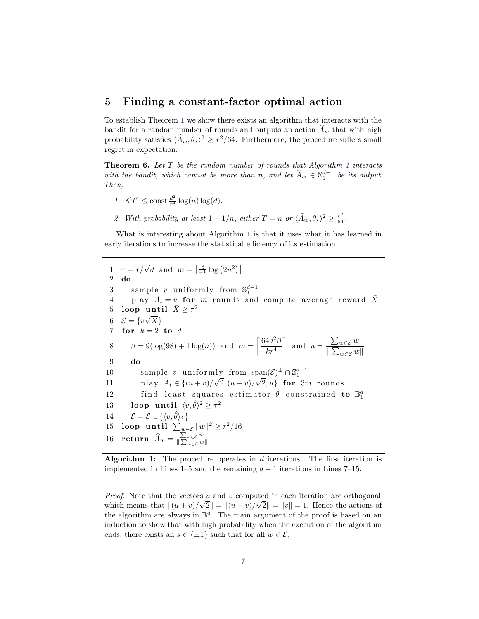#### 5 Finding a constant-factor optimal action

To establish Theorem [1](#page-1-0) we show there exists an algorithm that interacts with the bandit for a random number of rounds and outputs an action  $A_w$  that with high probability satisfies  $\langle \hat{A}_w, \theta_\star \rangle^2 \geq r^2/64$ . Furthermore, the procedure suffers small regret in expectation.

<span id="page-6-5"></span>**Theorem 6.** Let  $T$  be the random number of rounds that Algorithm [1](#page-6-0) interacts with the bandit, which cannot be more than n, and let  $\widehat{A}_w \in \mathbb{S}_1^{d-1}$  be its output. Then,

- 1.  $\mathbb{E}[T] \leq \text{const} \frac{d^2}{r^4}$  $rac{d^2}{r^4} \log(n) \log(d)$ .
- 2. With probability at least  $1 1/n$ , either  $T = n$  or  $\langle \hat{A}_w, \theta_\star \rangle^2 \ge \frac{r^2}{64}$ .

<span id="page-6-0"></span>What is interesting about Algorithm [1](#page-6-0) is that it uses what it has learned in early iterations to increase the statistical efficiency of its estimation.

<span id="page-6-4"></span><span id="page-6-3"></span><span id="page-6-2"></span>1  $\tau = r/\sqrt{d}$  and  $m = \left\lceil \frac{8}{\tau^4} \log(2n^2) \right\rceil$ 2 do 3 sample v uniformly from  $\mathbb{S}_1^{d-1}$ 4 play  $A_t = v$  for m rounds and compute average reward  $\bar{X}$ 5 loop until  $\bar{X} \geq \tau^2$ 6  $\mathcal{E} = \{ v \sqrt{\bar{X}} \}$ 7 for  $k=2$  to  $d$ 8  $\beta = 9(\log(98) + 4 \log(n))$  and  $m =$  $\int 64d^2\beta$  $kr^4$ 1 and  $u =$  $\sum_{w \in \mathcal{E}} w$  $\|\sum_{w\in\mathcal{E}} w\|$ 9 do 10 sample v uniformly from span $(\mathcal{E})^{\perp} \cap \mathbb{S}_1^{d-1}$ 11 play  $A_t \in \{(u+v)/\sqrt{2}, (u-v)/\sqrt{2}, u\}$  for 3m rounds 12 find least squares estimator  $\hat{\theta}$  constrained to  $\mathbb{B}^d_1$ 13 loop until  $\langle v, \hat{\theta} \rangle^2 \geq \tau^2$ 14  $\mathcal{E} = \mathcal{E} \cup \{\langle v, \hat{\theta} \rangle v\}$ <br>15 loop until  $\sum_{w \in \mathcal{E}}$ 15 loop until  $\sum_{w \in \mathcal{E}} \|w\|^2 \geq r^2/16$ 16 return  $\widehat{A}_w = \frac{\sum_{w \in \mathcal{E}} w}{\|\sum_{w \in \mathcal{E}} w\|}$  $\|\sum_{w\in\mathcal{E}} w\|$ 

<span id="page-6-1"></span>Algorithm 1: The procedure operates in  $d$  iterations. The first iteration is implemented in Lines 1–5 and the remaining  $d-1$  iterations in Lines 7–15.

*Proof.* Note that the vectors u and v computed in each iteration are orthogonal, which means that  $||(u + v)/\sqrt{2}|| = ||(u - v)/\sqrt{2}|| = ||v|| = 1$ . Hence the actions of the algorithm are always in  $\mathbb{B}_1^d$ . The main argument of the proof is based on an induction to show that with high probability when the execution of the algorithm ends, there exists an  $s \in \{\pm 1\}$  such that for all  $w \in \mathcal{E}$ ,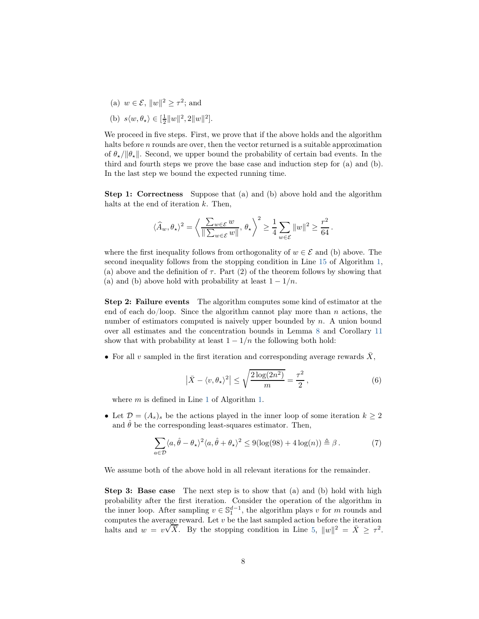- (a)  $w \in \mathcal{E}, ||w||^2 \geq \tau^2$ ; and
- (b)  $s \langle w, \theta_{\star} \rangle \in [\frac{1}{2} ||w||^2, 2 ||w||^2].$

We proceed in five steps. First, we prove that if the above holds and the algorithm halts before *n* rounds are over, then the vector returned is a suitable approximation of  $\theta_{\star}/\|\theta_{\star}\|$ . Second, we upper bound the probability of certain bad events. In the third and fourth steps we prove the base case and induction step for (a) and (b). In the last step we bound the expected running time.

Step 1: Correctness Suppose that (a) and (b) above hold and the algorithm halts at the end of iteration  $k$ . Then,

$$
\langle \widehat{A}_w, \theta_\star \rangle^2 = \left\langle \frac{\sum_{w \in \mathcal{E}} w}{\|\sum_{w \in \mathcal{E}} w\|}, \, \theta_\star \right\rangle^2 \ge \frac{1}{4} \sum_{w \in \mathcal{E}} \|w\|^2 \ge \frac{r^2}{64}.
$$

where the first inequality follows from orthogonality of  $w \in \mathcal{E}$  and (b) above. The second inequality follows from the stopping condition in Line [15](#page-6-1) of Algorithm [1,](#page-6-0) (a) above and the definition of  $\tau$ . Part (2) of the theorem follows by showing that (a) and (b) above hold with probability at least  $1 - 1/n$ .

Step 2: Failure events The algorithm computes some kind of estimator at the end of each do/loop. Since the algorithm cannot play more than n actions, the number of estimators computed is naively upper bounded by n. A union bound over all estimates and the concentration bounds in Lemma [8](#page-14-6) and Corollary [11](#page-16-0) show that with probability at least  $1 - 1/n$  the following both hold:

• For all v sampled in the first iteration and corresponding average rewards  $\bar{X}$ ,

<span id="page-7-1"></span><span id="page-7-0"></span>
$$
\left|\bar{X} - \langle v, \theta_{\star} \rangle^{2}\right| \leq \sqrt{\frac{2\log(2n^{2})}{m}} = \frac{\tau^{2}}{2},\tag{6}
$$

where  $m$  is defined in Line [1](#page-6-2) of Algorithm [1.](#page-6-0)

• Let  $\mathcal{D} = (A_s)_s$  be the actions played in the inner loop of some iteration  $k \geq 2$ and  $\hat{\theta}$  be the corresponding least-squares estimator. Then,

$$
\sum_{a \in \mathcal{D}} \langle a, \hat{\theta} - \theta_{\star} \rangle^2 \langle a, \hat{\theta} + \theta_{\star} \rangle^2 \le 9(\log(98) + 4\log(n)) \triangleq \beta.
$$
 (7)

We assume both of the above hold in all relevant iterations for the remainder.

Step 3: Base case The next step is to show that (a) and (b) hold with high probability after the first iteration. Consider the operation of the algorithm in the inner loop. After sampling  $v \in \mathbb{S}_1^{d-1}$ , the algorithm plays v for m rounds and computes the average reward. Let v be the last sampled action before the iteration halts and  $w = v\sqrt{\overline{X}}$ . By the stopping condition in Line [5,](#page-6-3)  $||w||^2 = \overline{X} \geq \tau^2$ .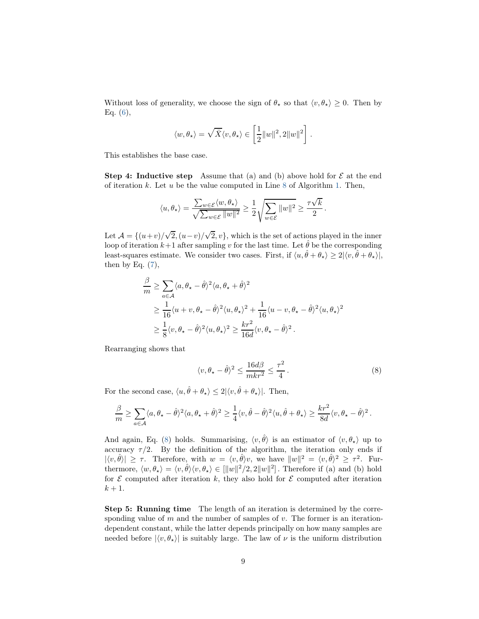Without loss of generality, we choose the sign of  $\theta_{\star}$  so that  $\langle v, \theta_{\star} \rangle \geq 0$ . Then by Eq.  $(6)$ ,

$$
\langle w,\theta_\star\rangle=\sqrt{\bar{X}}\langle v,\theta_\star\rangle\in\left[\frac{1}{2}\|w\|^2,2\|w\|^2\right]\,.
$$

This establishes the base case.

**Step 4: Inductive step** Assume that (a) and (b) above hold for  $\mathcal{E}$  at the end of iteration k. Let u be the value computed in Line [8](#page-6-4) of Algorithm [1.](#page-6-0) Then,

$$
\langle u, \theta_{\star}\rangle = \frac{\sum_{w\in \mathcal{E}}\langle w, \theta_{\star}\rangle}{\sqrt{\sum_{w\in \mathcal{E}}\|w\|^2}} \geq \frac{1}{2}\sqrt{\sum_{w\in \mathcal{E}}\|w\|^2} \geq \frac{\tau\sqrt{k}}{2}\,.
$$

Let  $\mathcal{A} = \{(u+v)/\sqrt{2}, (u-v)/\sqrt{2}, v\}$ , which is the set of actions played in the inner loop of iteration  $k+1$  after sampling v for the last time. Let  $\hat{\theta}$  be the corresponding least-squares estimate. We consider two cases. First, if  $\langle u, \hat{\theta} + \theta_{\star} \rangle \geq 2|\langle v, \hat{\theta} + \theta_{\star} \rangle|$ , then by Eq.  $(7)$ ,

$$
\frac{\beta}{m} \geq \sum_{a \in \mathcal{A}} \langle a, \theta_{\star} - \hat{\theta} \rangle^2 \langle a, \theta_{\star} + \hat{\theta} \rangle^2
$$
  
\n
$$
\geq \frac{1}{16} \langle u + v, \theta_{\star} - \hat{\theta} \rangle^2 \langle u, \theta_{\star} \rangle^2 + \frac{1}{16} \langle u - v, \theta_{\star} - \hat{\theta} \rangle^2 \langle u, \theta_{\star} \rangle^2
$$
  
\n
$$
\geq \frac{1}{8} \langle v, \theta_{\star} - \hat{\theta} \rangle^2 \langle u, \theta_{\star} \rangle^2 \geq \frac{kr^2}{16d} \langle v, \theta_{\star} - \hat{\theta} \rangle^2.
$$

Rearranging shows that

<span id="page-8-0"></span>
$$
\langle v, \theta_{\star} - \hat{\theta} \rangle^2 \le \frac{16d\beta}{mkr^2} \le \frac{\tau^2}{4} \,. \tag{8}
$$

For the second case,  $\langle u, \hat{\theta} + \theta_{\star} \rangle \leq 2|\langle v, \hat{\theta} + \theta_{\star} \rangle|$ . Then,

$$
\frac{\beta}{m}\geq \sum_{a\in\mathcal{A}}\langle a,\theta_\star-\hat{\theta}\rangle^2\langle a,\theta_\star+\hat{\theta}\rangle^2\geq \frac{1}{4}\langle v,\hat{\theta}-\hat{\theta}\rangle^2\langle u,\hat{\theta}+\theta_\star\rangle\geq \frac{kr^2}{8d}\langle v,\theta_\star-\hat{\theta}\rangle^2\,.
$$

And again, Eq. [\(8\)](#page-8-0) holds. Summarising,  $\langle v, \hat{\theta} \rangle$  is an estimator of  $\langle v, \theta_{\star} \rangle$  up to accuracy  $\tau/2$ . By the definition of the algorithm, the iteration only ends if  $|\langle v, \hat{\theta} \rangle| \geq \tau$ . Therefore, with  $w = \langle v, \hat{\theta} \rangle v$ , we have  $||w||^2 = \langle v, \hat{\theta} \rangle^2 \geq \tau^2$ . Furthermore,  $\langle w, \theta_{\star} \rangle = \langle v, \hat{\theta} \rangle \langle v, \theta_{\star} \rangle \in [\|w\|^2/2, 2\|w\|^2]$ . Therefore if (a) and (b) hold for  $\mathcal E$  computed after iteration k, they also hold for  $\mathcal E$  computed after iteration  $k+1$ .

Step 5: Running time The length of an iteration is determined by the corresponding value of  $m$  and the number of samples of  $v$ . The former is an iterationdependent constant, while the latter depends principally on how many samples are needed before  $|\langle v, \theta_{\star} \rangle|$  is suitably large. The law of  $\nu$  is the uniform distribution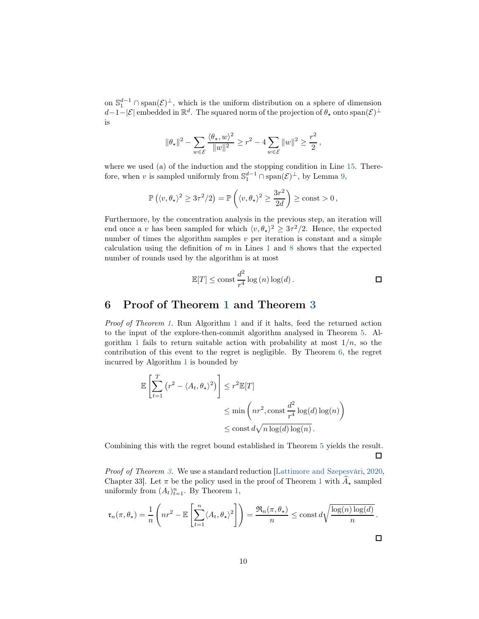on  $\mathbb{S}_1^{d-1} \cap \text{span}(\mathcal{E})^{\perp}$ , which is the uniform distribution on a sphere of dimension d-1-|E| embedded in  $\mathbb{R}^d$ . The squared norm of the projection of  $\theta_\star$  onto  $\text{span}(\mathcal{E})^{\perp}$ is

$$
\|\theta_\star\|^2 - \sum_{w\in\mathcal{E}} \frac{\langle \theta_\star, w\rangle^2}{\|w\|^2} \ge r^2 - 4 \sum_{w\in\mathcal{E}} \|w\|^2 \ge \frac{r^2}{2} \,,
$$

where we used (a) of the induction and the stopping condition in Line [15.](#page-6-1) Therefore, when v is sampled uniformly from  $\mathbb{S}_1^{d-1} \cap \text{span}(\mathcal{E})^{\perp}$ , by Lemma [9,](#page-14-7)

$$
\mathbb{P}\left(\langle v,\theta_\star\rangle^2\geq 3\tau^2/2\right)=\mathbb{P}\left(\langle v,\theta_\star\rangle^2\geq \frac{3r^2}{2d}\right)\geq \mathrm{const}>0\,,
$$

Furthermore, by the concentration analysis in the previous step, an iteration will end once a v has been sampled for which  $\langle v, \theta_{\star} \rangle^2 \geq 3\tau^2/2$ . Hence, the expected number of times the algorithm samples  $v$  per iteration is constant and a simple calculation using the definition of  $m$  in Lines [1](#page-6-2) and [8](#page-6-4) shows that the expected number of rounds used by the algorithm is at most

$$
\mathbb{E}[T] \le \text{const} \frac{d^2}{r^4} \log(n) \log(d) . \qquad \qquad \Box
$$

### 6 Proof of Theorem [1](#page-1-0) and Theorem [3](#page-1-1)

Proof of Theorem [1.](#page-1-0) Run Algorithm [1](#page-6-0) and if it halts, feed the returned action to the input of the explore-then-commit algorithm analysed in Theorem [5.](#page-4-0) Al-gorithm [1](#page-6-0) fails to return suitable action with probability at most  $1/n$ , so the contribution of this event to the regret is negligible. By Theorem [6,](#page-6-5) the regret incurred by Algorithm [1](#page-6-0) is bounded by

$$
\mathbb{E}\left[\sum_{t=1}^{T} (r^2 - \langle A_t, \theta_\star \rangle^2)\right] \leq r^2 \mathbb{E}[T]
$$
  

$$
\leq \min\left(nr^2, \text{const}\frac{d^2}{r^4}\log(d)\log(n)\right)
$$
  

$$
\leq \text{const}\,d\sqrt{n\log(d)\log(n)}.
$$

Combining this with the regret bound established in Theorem [5](#page-4-0) yields the result. □

Proof of Theorem [3.](#page-1-1) We use a standard reduction [\[Lattimore and Szepesvári,](#page-13-11) [2020,](#page-13-11) Chapter 33. Let  $\pi$  be the policy used in the proof of Theorem [1](#page-1-0) with  $\widehat{A}_\star$  sampled uniformly from  $(A_t)_{t=1}^n$ . By Theorem [1,](#page-1-0)

$$
\mathfrak{r}_n(\pi,\theta_\star) = \frac{1}{n} \left( nr^2 - \mathbb{E}\left[ \sum_{t=1}^n \langle A_t, \theta_\star \rangle^2 \right] \right) = \frac{\mathfrak{R}_n(\pi, \theta_\star)}{n} \le \text{const } d \sqrt{\frac{\log(n) \log(d)}{n}}.
$$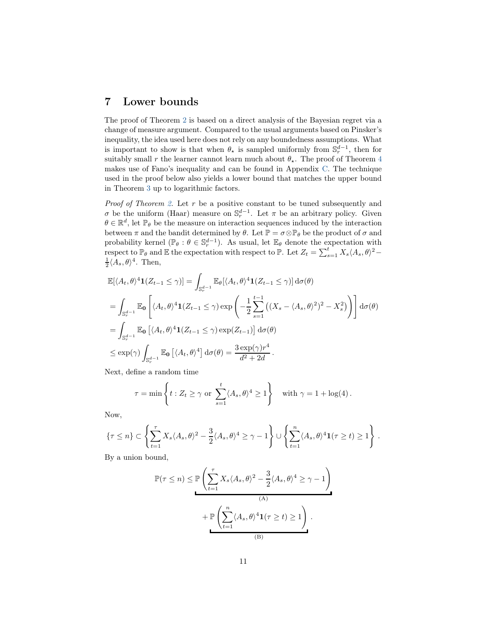### 7 Lower bounds

The proof of Theorem [2](#page-1-2) is based on a direct analysis of the Bayesian regret via a change of measure argument. Compared to the usual arguments based on Pinsker's inequality, the idea used here does not rely on any boundedness assumptions. What is important to show is that when  $\theta_{\star}$  is sampled uniformly from  $\mathbb{S}^{d-1}_{r}$ , then for suitably small r the learner cannot learn much about  $\theta_{\star}$ . The proof of Theorem [4](#page-1-3) makes use of Fano's inequality and can be found in Appendix [C.](#page-17-0) The technique used in the proof below also yields a lower bound that matches the upper bound in Theorem [3](#page-1-1) up to logarithmic factors.

Proof of Theorem [2.](#page-1-2) Let r be a positive constant to be tuned subsequently and σ be the uniform (Haar) measure on  $\mathbb{S}_r^{d-1}$ . Let π be an arbitrary policy. Given  $\theta \in \mathbb{R}^d$ , let  $\mathbb{P}_{\theta}$  be the measure on interaction sequences induced by the interaction between  $\pi$  and the bandit determined by  $\theta$ . Let  $\mathbb{P} = \sigma \otimes \mathbb{P}_{\theta}$  be the product of  $\sigma$  and probability kernel ( $\mathbb{P}_{\theta} : \theta \in \mathbb{S}_{r}^{d-1}$ ). As usual, let  $\mathbb{E}_{\theta}$  denote the expectation with respect to  $\mathbb{P}_{\theta}$  and  $\mathbb{E}$  the expectation with respect to  $\mathbb{P}$ . Let  $Z_t = \sum_{s=1}^t X_s \langle A_s, \theta \rangle^2 \frac{1}{2} \langle A_s, \theta \rangle^4$ . Then,

$$
\mathbb{E}[\langle A_t, \theta \rangle^4 \mathbf{1}(Z_{t-1} \le \gamma)] = \int_{\mathbb{S}_r^{d-1}} \mathbb{E}_{\theta}[\langle A_t, \theta \rangle^4 \mathbf{1}(Z_{t-1} \le \gamma)] d\sigma(\theta)
$$
\n
$$
= \int_{\mathbb{S}_r^{d-1}} \mathbb{E}_{\mathbf{0}} \left[ \langle A_t, \theta \rangle^4 \mathbf{1}(Z_{t-1} \le \gamma) \exp\left( -\frac{1}{2} \sum_{s=1}^{t-1} \left( (X_s - \langle A_s, \theta \rangle^2)^2 - X_s^2 \right) \right) \right] d\sigma(\theta)
$$
\n
$$
= \int_{\mathbb{S}_r^{d-1}} \mathbb{E}_{\mathbf{0}} \left[ \langle A_t, \theta \rangle^4 \mathbf{1}(Z_{t-1} \le \gamma) \exp(Z_{t-1}) \right] d\sigma(\theta)
$$
\n
$$
\le \exp(\gamma) \int_{\mathbb{S}_r^{d-1}} \mathbb{E}_{\mathbf{0}} \left[ \langle A_t, \theta \rangle^4 \right] d\sigma(\theta) = \frac{3 \exp(\gamma) r^4}{d^2 + 2d}.
$$

Next, define a random time

$$
\tau = \min \left\{ t : Z_t \ge \gamma \text{ or } \sum_{s=1}^t \langle A_s, \theta \rangle^4 \ge 1 \right\} \quad \text{with } \gamma = 1 + \log(4) \,.
$$

Now,

$$
\{\tau \leq n\} \subset \left\{\sum_{t=1}^{\tau} X_s \langle A_s, \theta \rangle^2 - \frac{3}{2} \langle A_s, \theta \rangle^4 \geq \gamma - 1\right\} \cup \left\{\sum_{t=1}^n \langle A_s, \theta \rangle^4 \mathbf{1}(\tau \geq t) \geq 1\right\}.
$$

By a union bound,

$$
\mathbb{P}(\tau \leq n) \leq \mathbb{P}\left(\sum_{t=1}^{\tau} X_s \langle A_s, \theta \rangle^2 - \frac{3}{2} \langle A_s, \theta \rangle^4 \geq \gamma - 1\right) + \mathbb{P}\left(\sum_{t=1}^n \langle A_s, \theta \rangle^4 \mathbf{1}(\tau \geq t) \geq 1\right).
$$
\n(B)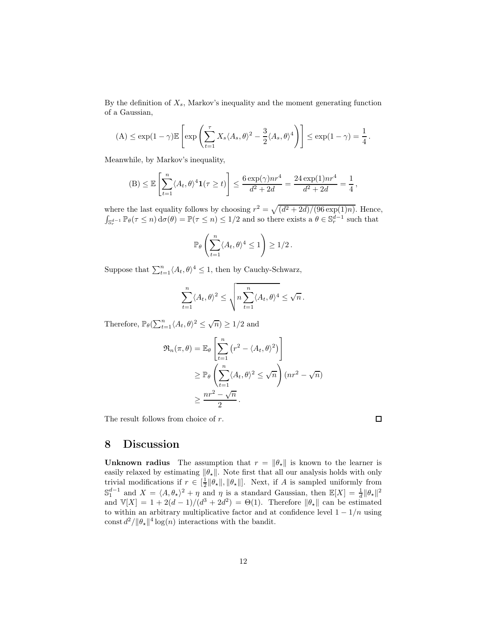By the definition of  $X_s$ , Markov's inequality and the moment generating function of a Gaussian,

$$
(\mathbf{A}) \le \exp(1-\gamma)\mathbb{E}\left[\exp\left(\sum_{t=1}^{\tau} X_s \langle A_s, \theta \rangle^2 - \frac{3}{2} \langle A_s, \theta \rangle^4\right)\right] \le \exp(1-\gamma) = \frac{1}{4}.
$$

Meanwhile, by Markov's inequality,

$$
(B) \leq \mathbb{E}\left[\sum_{t=1}^n \langle A_t, \theta \rangle^4 \mathbf{1}(\tau \geq t) \right] \leq \frac{6 \exp(\gamma) nr^4}{d^2 + 2d} = \frac{24 \exp(1) nr^4}{d^2 + 2d} = \frac{1}{4},
$$

where the last equality follows by choosing  $r^2 = \sqrt{\frac{d^2 + 2d}{96 \exp(1/n)}}$ . Hence,  $\int_{\mathbb{S}_r^{d-1}} \mathbb{P}_{\theta}(\tau \leq n) d\sigma(\theta) = \mathbb{P}(\tau \leq n) \leq 1/2$  and so there exists a  $\theta \in \mathbb{S}_r^{d-1}$  such that

$$
\mathbb{P}_{\theta}\left(\sum_{t=1}^n \langle A_t, \theta \rangle^4 \le 1\right) \ge 1/2.
$$

Suppose that  $\sum_{t=1}^{n} \langle A_t, \theta \rangle^4 \leq 1$ , then by Cauchy-Schwarz,

$$
\sum_{t=1}^n \langle A_t, \theta \rangle^2 \le \sqrt{n \sum_{t=1}^n \langle A_t, \theta \rangle^4} \le \sqrt{n} \, .
$$

Therefore,  $\mathbb{P}_{\theta}(\sum_{t=1}^{n} \langle A_t, \theta \rangle^2 \leq \sqrt{n}) \geq 1/2$  and

$$
\mathfrak{R}_n(\pi,\theta) = \mathbb{E}_{\theta} \left[ \sum_{t=1}^n (r^2 - \langle A_t, \theta \rangle^2) \right]
$$
  
\n
$$
\geq \mathbb{P}_{\theta} \left( \sum_{t=1}^n \langle A_t, \theta \rangle^2 \leq \sqrt{n} \right) (nr^2 - \sqrt{n})
$$
  
\n
$$
\geq \frac{nr^2 - \sqrt{n}}{2}.
$$

<span id="page-11-0"></span>The result follows from choice of r.

 $\Box$ 

### 8 Discussion

**Unknown radius** The assumption that  $r = \|\theta_\star\|$  is known to the learner is easily relaxed by estimating  $\|\theta_\star\|$ . Note first that all our analysis holds with only trivial modifications if  $r \in [\frac{1}{2} ||\theta_\star||, ||\theta_\star||]$ . Next, if A is sampled uniformly from  $\mathbb{S}_1^{d-1}$  and  $X = \langle A, \theta_\star \rangle^2 + \eta$  and  $\eta$  is a standard Gaussian, then  $\mathbb{E}[X] = \frac{1}{d} ||\theta_\star||^2$ and  $\mathbb{V}[X] = 1 + 2(d-1)/(d^3 + 2d^2) = \Theta(1)$ . Therefore  $\|\theta_\star\|$  can be estimated to within an arbitrary multiplicative factor and at confidence level  $1 - 1/n$  using const  $d^2/\|\theta_{\star}\|^4 \log(n)$  interactions with the bandit.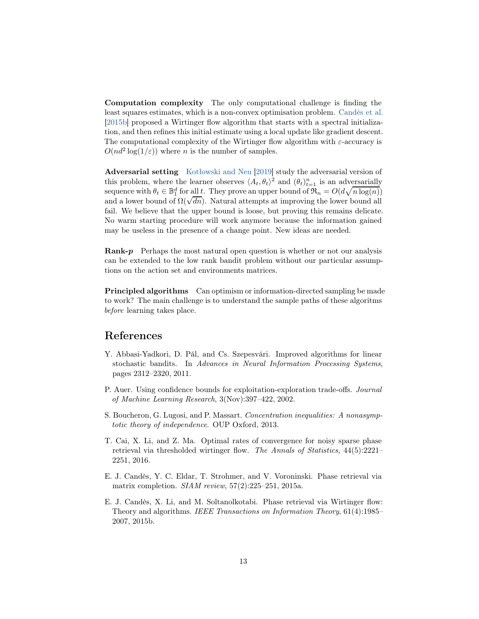Computation complexity The only computational challenge is finding the least squares estimates, which is a non-convex optimisation problem. [Candès et al.](#page-12-0) [\[2015b](#page-12-0)] proposed a Wirtinger flow algorithm that starts with a spectral initialization, and then refines this initial estimate using a local update like gradient descent. The computational complexity of the Wirtinger flow algorithm with  $\varepsilon$ -accuracy is  $O(nd^2 \log(1/\varepsilon))$  where *n* is the number of samples.

Adversarial setting [Kotłowski and Neu](#page-13-1) [\[2019\]](#page-13-1) study the adversarial version of this problem, where the learner observes  $\langle A_t, \theta_t \rangle^2$  and  $(\theta_t)_{t=1}^n$  is an adversarially sequence with  $\theta_t \in \mathbb{B}_1^d$  for all t. They prove an upper bound of  $\mathfrak{R}_n = O(d\sqrt{n \log(n)})$ and a lower bound of  $\Omega(\sqrt{dn})$ . Natural attempts at improving the lower bound all fail. We believe that the upper bound is loose, but proving this remains delicate. No warm starting procedure will work anymore because the information gained may be useless in the presence of a change point. New ideas are needed.

Rank-p Perhaps the most natural open question is whether or not our analysis can be extended to the low rank bandit problem without our particular assumptions on the action set and environments matrices.

Principled algorithms Can optimism or information-directed sampling be made to work? The main challenge is to understand the sample paths of these algoritms before learning takes place.

### References

- <span id="page-12-4"></span>Y. Abbasi-Yadkori, D. Pál, and Cs. Szepesvári. Improved algorithms for linear stochastic bandits. In Advances in Neural Information Processing Systems, pages 2312–2320, 2011.
- <span id="page-12-3"></span>P. Auer. Using confidence bounds for exploitation-exploration trade-offs. Journal of Machine Learning Research, 3(Nov):397–422, 2002.
- <span id="page-12-5"></span>S. Boucheron, G. Lugosi, and P. Massart. Concentration inequalities: A nonasymptotic theory of independence. OUP Oxford, 2013.
- <span id="page-12-2"></span>T. Cai, X. Li, and Z. Ma. Optimal rates of convergence for noisy sparse phase retrieval via thresholded wirtinger flow. The Annals of Statistics, 44(5):2221– 2251, 2016.
- <span id="page-12-1"></span>E. J. Candès, Y. C. Eldar, T. Strohmer, and V. Voroninski. Phase retrieval via matrix completion. SIAM review, 57(2):225–251, 2015a.
- <span id="page-12-0"></span>E. J. Candès, X. Li, and M. Soltanolkotabi. Phase retrieval via Wirtinger flow: Theory and algorithms. IEEE Transactions on Information Theory, 61(4):1985– 2007, 2015b.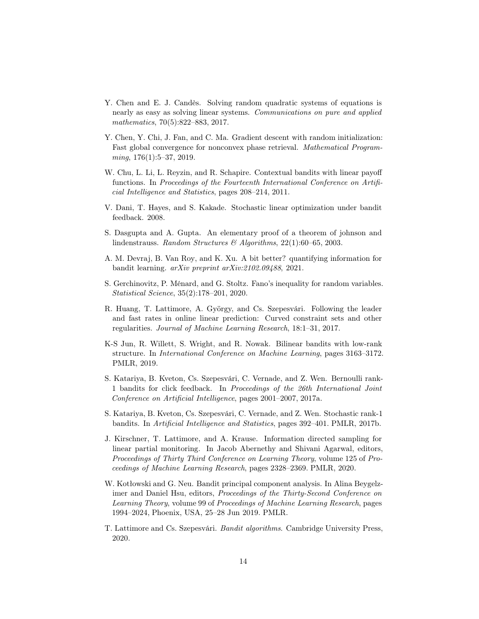- <span id="page-13-2"></span>Y. Chen and E. J. Candès. Solving random quadratic systems of equations is nearly as easy as solving linear systems. Communications on pure and applied mathematics, 70(5):822–883, 2017.
- <span id="page-13-3"></span>Y. Chen, Y. Chi, J. Fan, and C. Ma. Gradient descent with random initialization: Fast global convergence for nonconvex phase retrieval. Mathematical Program $minq, 176(1):5-37, 2019.$
- <span id="page-13-5"></span>W. Chu, L. Li, L. Reyzin, and R. Schapire. Contextual bandits with linear payoff functions. In Proceedings of the Fourteenth International Conference on Artificial Intelligence and Statistics, pages 208–214, 2011.
- <span id="page-13-4"></span>V. Dani, T. Hayes, and S. Kakade. Stochastic linear optimization under bandit feedback. 2008.
- <span id="page-13-13"></span>S. Dasgupta and A. Gupta. An elementary proof of a theorem of johnson and lindenstrauss. Random Structures & Algorithms, 22(1):60–65, 2003.
- <span id="page-13-8"></span>A. M. Devraj, B. Van Roy, and K. Xu. A bit better? quantifying information for bandit learning. arXiv preprint arXiv:2102.09488, 2021.
- <span id="page-13-12"></span>S. Gerchinovitz, P. Ménard, and G. Stoltz. Fano's inequality for random variables. Statistical Science, 35(2):178–201, 2020.
- <span id="page-13-9"></span>R. Huang, T. Lattimore, A. György, and Cs. Szepesvári. Following the leader and fast rates in online linear prediction: Curved constraint sets and other regularities. Journal of Machine Learning Research, 18:1–31, 2017.
- <span id="page-13-0"></span>K-S Jun, R. Willett, S. Wright, and R. Nowak. Bilinear bandits with low-rank structure. In International Conference on Machine Learning, pages 3163–3172. PMLR, 2019.
- <span id="page-13-7"></span>S. Katariya, B. Kveton, Cs. Szepesvári, C. Vernade, and Z. Wen. Bernoulli rank-1 bandits for click feedback. In Proceedings of the 26th International Joint Conference on Artificial Intelligence, pages 2001–2007, 2017a.
- <span id="page-13-6"></span>S. Katariya, B. Kveton, Cs. Szepesvári, C. Vernade, and Z. Wen. Stochastic rank-1 bandits. In Artificial Intelligence and Statistics, pages 392–401. PMLR, 2017b.
- <span id="page-13-10"></span>J. Kirschner, T. Lattimore, and A. Krause. Information directed sampling for linear partial monitoring. In Jacob Abernethy and Shivani Agarwal, editors, Proceedings of Thirty Third Conference on Learning Theory, volume 125 of Proceedings of Machine Learning Research, pages 2328–2369. PMLR, 2020.
- <span id="page-13-1"></span>W. Kotłowski and G. Neu. Bandit principal component analysis. In Alina Beygelzimer and Daniel Hsu, editors, Proceedings of the Thirty-Second Conference on Learning Theory, volume 99 of Proceedings of Machine Learning Research, pages 1994–2024, Phoenix, USA, 25–28 Jun 2019. PMLR.
- <span id="page-13-11"></span>T. Lattimore and Cs. Szepesvári. Bandit algorithms. Cambridge University Press, 2020.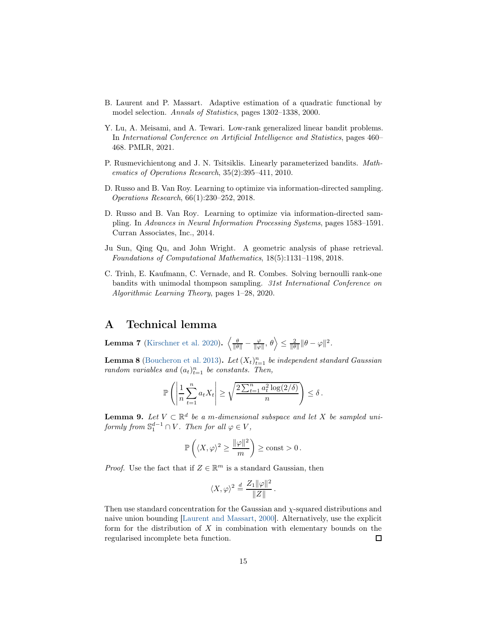- <span id="page-14-8"></span>B. Laurent and P. Massart. Adaptive estimation of a quadratic functional by model selection. Annals of Statistics, pages 1302–1338, 2000.
- <span id="page-14-1"></span>Y. Lu, A. Meisami, and A. Tewari. Low-rank generalized linear bandit problems. In International Conference on Artificial Intelligence and Statistics, pages 460– 468. PMLR, 2021.
- <span id="page-14-3"></span>P. Rusmevichientong and J. N. Tsitsiklis. Linearly parameterized bandits. Mathematics of Operations Research, 35(2):395–411, 2010.
- D. Russo and B. Van Roy. Learning to optimize via information-directed sampling. Operations Research, 66(1):230–252, 2018.
- <span id="page-14-0"></span>D. Russo and B. Van Roy. Learning to optimize via information-directed sampling. In Advances in Neural Information Processing Systems, pages 1583–1591. Curran Associates, Inc., 2014.
- <span id="page-14-2"></span>Ju Sun, Qing Qu, and John Wright. A geometric analysis of phase retrieval. Foundations of Computational Mathematics, 18(5):1131–1198, 2018.
- <span id="page-14-4"></span>C. Trinh, E. Kaufmann, C. Vernade, and R. Combes. Solving bernoulli rank-one bandits with unimodal thompson sampling. 31st International Conference on Algorithmic Learning Theory, pages 1–28, 2020.

### A Technical lemma

<span id="page-14-5"></span>**Lemma 7** [\(Kirschner et al. 2020\)](#page-13-10).  $\left\langle \frac{\theta}{\|\theta\|} - \frac{\varphi}{\|\varphi\|}, \theta \right\rangle \leq \frac{2}{\|\theta\|} \|\theta - \varphi\|^2$ .

<span id="page-14-6"></span>**Lemma 8** [\(Boucheron et al. 2013\)](#page-12-5). Let  $(X_t)_{t=1}^n$  be independent standard Gaussian random variables and  $(a_t)_{t=1}^n$  be constants. Then,

$$
\mathbb{P}\left(\left|\frac{1}{n}\sum_{t=1}^n a_t X_t\right| \ge \sqrt{\frac{2\sum_{t=1}^n a_t^2 \log(2/\delta)}{n}}\right) \le \delta.
$$

<span id="page-14-7"></span>**Lemma 9.** Let  $V \subset \mathbb{R}^d$  be a m-dimensional subspace and let X be sampled uniformly from  $\mathbb{S}_1^{d-1} \cap V$ . Then for all  $\varphi \in V$ ,

$$
\mathbb{P}\left(\langle X,\varphi\rangle^2\geq \frac{\|\varphi\|^2}{m}\right)\geq \mathrm{const}>0\,.
$$

*Proof.* Use the fact that if  $Z \in \mathbb{R}^m$  is a standard Gaussian, then

$$
\langle X, \varphi \rangle^2 \stackrel{d}{=} \frac{Z_1 \|\varphi\|^2}{\|Z\|}.
$$

Then use standard concentration for the Gaussian and χ-squared distributions and naive union bounding [\[Laurent and Massart](#page-14-8), [2000\]](#page-14-8). Alternatively, use the explicit form for the distribution of  $X$  in combination with elementary bounds on the regularised incomplete beta function. □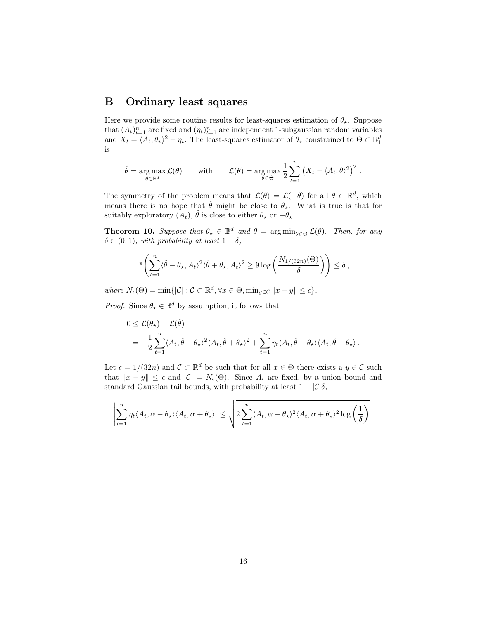### B Ordinary least squares

Here we provide some routine results for least-squares estimation of  $\theta_{\star}$ . Suppose that  $(A_t)_{t=1}^n$  are fixed and  $(\eta_t)_{t=1}^n$  are independent 1-subgaussian random variables and  $X_t = \langle A_t, \theta_\star \rangle^2 + \eta_t$ . The least-squares estimator of  $\theta_\star$  constrained to  $\Theta \subset \mathbb{B}^d_1$ is

$$
\hat{\theta} = \underset{\theta \in \mathbb{B}^d}{\arg \max} \mathcal{L}(\theta) \quad \text{with} \quad \mathcal{L}(\theta) = \underset{\theta \in \Theta}{\arg \max} \frac{1}{2} \sum_{t=1}^n (X_t - \langle A_t, \theta \rangle^2)^2.
$$

The symmetry of the problem means that  $\mathcal{L}(\theta) = \mathcal{L}(-\theta)$  for all  $\theta \in \mathbb{R}^d$ , which means there is no hope that  $\hat{\theta}$  might be close to  $\theta_{\star}$ . What is true is that for suitably exploratory  $(A_t)$ ,  $\hat{\theta}$  is close to either  $\theta_{\star}$  or  $-\theta_{\star}$ .

<span id="page-15-0"></span>**Theorem 10.** Suppose that  $\theta_{\star} \in \mathbb{B}^d$  and  $\hat{\theta} = \arg \min_{\theta \in \Theta} \mathcal{L}(\theta)$ . Then, for any  $\delta \in (0, 1)$ , with probability at least  $1 - \delta$ ,

$$
\mathbb{P}\left(\sum_{t=1}^n\langle\hat{\theta}-\theta_\star,A_t\rangle^2\langle\hat{\theta}+\theta_\star,A_t\rangle^2\geq 9\log\left(\frac{N_{1/(32n)}(\Theta)}{\delta}\right)\right)\leq \delta\,,
$$

where  $N_{\epsilon}(\Theta) = \min\{|\mathcal{C}| : \mathcal{C} \subset \mathbb{R}^d, \forall x \in \Theta, \min_{y \in \mathcal{C}} ||x - y|| \leq \epsilon\}.$ 

*Proof.* Since  $\theta_{\star} \in \mathbb{B}^d$  by assumption, it follows that

$$
0 \leq \mathcal{L}(\theta_\star) - \mathcal{L}(\hat{\theta})
$$
  
=  $-\frac{1}{2} \sum_{t=1}^n \langle A_t, \hat{\theta} - \theta_\star \rangle^2 \langle A_t, \hat{\theta} + \theta_\star \rangle^2 + \sum_{t=1}^n \eta_t \langle A_t, \hat{\theta} - \theta_\star \rangle \langle A_t, \hat{\theta} + \theta_\star \rangle.$ 

Let  $\epsilon = 1/(32n)$  and  $\mathcal{C} \subset \mathbb{R}^d$  be such that for all  $x \in \Theta$  there exists a  $y \in \mathcal{C}$  such that  $||x - y|| \leq \epsilon$  and  $|\mathcal{C}| = N_{\epsilon}(\Theta)$ . Since  $A_t$  are fixed, by a union bound and standard Gaussian tail bounds, with probability at least  $1 - |\mathcal{C}|\delta$ ,

$$
\left|\sum_{t=1}^n \eta_t \langle A_t, \alpha - \theta_\star \rangle \langle A_t, \alpha + \theta_\star \rangle \right| \leq \sqrt{2 \sum_{t=1}^n \langle A_t, \alpha - \theta_\star \rangle^2 \langle A_t, \alpha + \theta_\star \rangle^2 \log \left(\frac{1}{\delta}\right)}.
$$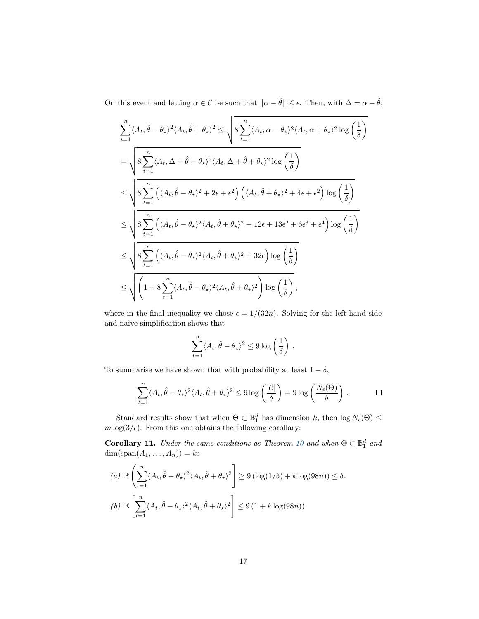On this event and letting  $\alpha \in \mathcal{C}$  be such that  $\|\alpha - \hat{\theta}\| \leq \epsilon$ . Then, with  $\Delta = \alpha - \hat{\theta}$ ,

$$
\sum_{t=1}^{n} \langle A_t, \hat{\theta} - \theta_{\star} \rangle^2 \langle A_t, \hat{\theta} + \theta_{\star} \rangle^2 \le \sqrt{8 \sum_{t=1}^{n} \langle A_t, \alpha - \theta_{\star} \rangle^2 \langle A_t, \alpha + \theta_{\star} \rangle^2 \log\left(\frac{1}{\delta}\right)}
$$
  
\n
$$
= \sqrt{8 \sum_{t=1}^{n} \langle A_t, \Delta + \hat{\theta} - \theta_{\star} \rangle^2 \langle A_t, \Delta + \hat{\theta} + \theta_{\star} \rangle^2 \log\left(\frac{1}{\delta}\right)}
$$
  
\n
$$
\le \sqrt{8 \sum_{t=1}^{n} \left( \langle A_t, \hat{\theta} - \theta_{\star} \rangle^2 + 2\epsilon + \epsilon^2 \right) \left( \langle A_t, \hat{\theta} + \theta_{\star} \rangle^2 + 4\epsilon + \epsilon^2 \right) \log\left(\frac{1}{\delta}\right)}
$$
  
\n
$$
\le \sqrt{8 \sum_{t=1}^{n} \left( \langle A_t, \hat{\theta} - \theta_{\star} \rangle^2 \langle A_t, \hat{\theta} + \theta_{\star} \rangle^2 + 12\epsilon + 13\epsilon^2 + 6\epsilon^3 + \epsilon^4 \right) \log\left(\frac{1}{\delta}\right)}
$$
  
\n
$$
\le \sqrt{8 \sum_{t=1}^{n} \left( \langle A_t, \hat{\theta} - \theta_{\star} \rangle^2 \langle A_t, \hat{\theta} + \theta_{\star} \rangle^2 + 32\epsilon \right) \log\left(\frac{1}{\delta}\right)}
$$
  
\n
$$
\le \sqrt{\left(1 + 8 \sum_{t=1}^{n} \langle A_t, \hat{\theta} - \theta_{\star} \rangle^2 \langle A_t, \hat{\theta} + \theta_{\star} \rangle^2\right) \log\left(\frac{1}{\delta}\right)},
$$

where in the final inequality we chose  $\epsilon = 1/(32n)$ . Solving for the left-hand side and naive simplification shows that

$$
\sum_{t=1}^n \langle A_t, \hat{\theta} - \theta_\star \rangle^2 \leq 9 \log \left( \frac{1}{\delta} \right) .
$$

To summarise we have shown that with probability at least  $1 - \delta$ ,

$$
\sum_{t=1}^{n} \langle A_t, \hat{\theta} - \theta_{\star} \rangle^2 \langle A_t, \hat{\theta} + \theta_{\star} \rangle^2 \le 9 \log \left( \frac{|\mathcal{C}|}{\delta} \right) = 9 \log \left( \frac{N_{\epsilon}(\Theta)}{\delta} \right) . \qquad \Box
$$

<span id="page-16-0"></span>Standard results show that when  $\Theta \subset \mathbb{B}_1^d$  has dimension k, then  $\log N_{\epsilon}(\Theta) \le$  $m \log(3/\epsilon)$ . From this one obtains the following corollary:

**Corollary 11.** Under the same conditions as Theorem [10](#page-15-0) and when  $\Theta \subset \mathbb{B}_1^d$  and  $dim(\text{span}(A_1,\ldots,A_n))=k$ :

(a) 
$$
\mathbb{P}\left(\sum_{t=1}^{n} \langle A_t, \hat{\theta} - \theta_{\star} \rangle^2 \langle A_t, \hat{\theta} + \theta_{\star} \rangle^2\right) \ge 9 (\log(1/\delta) + k \log(98n)) \le \delta.
$$
  
(b)  $\mathbb{E}\left[\sum_{t=1}^{n} \langle A_t, \hat{\theta} - \theta_{\star} \rangle^2 \langle A_t, \hat{\theta} + \theta_{\star} \rangle^2\right] \le 9 (1 + k \log(98n)).$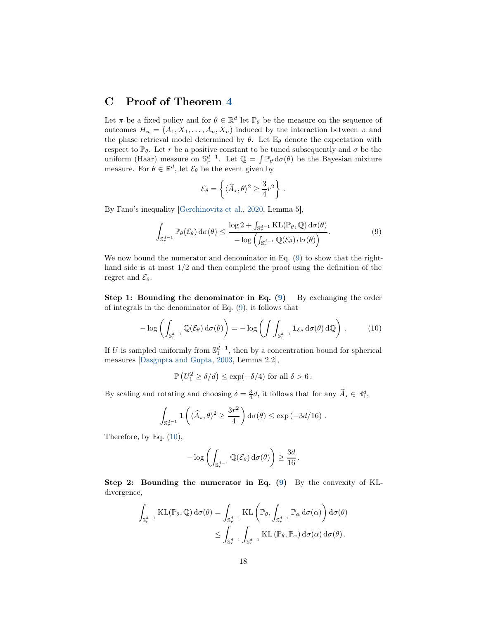### <span id="page-17-0"></span>C Proof of Theorem [4](#page-1-3)

Let  $\pi$  be a fixed policy and for  $\theta \in \mathbb{R}^d$  let  $\mathbb{P}_{\theta}$  be the measure on the sequence of outcomes  $H_n = (A_1, X_1, \ldots, A_n, X_n)$  induced by the interaction between  $\pi$  and the phase retrieval model determined by  $\theta$ . Let  $\mathbb{E}_{\theta}$  denote the expectation with respect to  $\mathbb{P}_{\theta}$ . Let r be a positive constant to be tuned subsequently and  $\sigma$  be the uniform (Haar) measure on  $\mathbb{S}_r^{d-1}$ . Let  $\mathbb{Q} = \int \mathbb{P}_{\theta} d\sigma(\theta)$  be the Bayesian mixture measure. For  $\theta \in \mathbb{R}^d$ , let  $\mathcal{E}_{\theta}$  be the event given by

<span id="page-17-1"></span>
$$
\mathcal{E}_{\theta} = \left\{ \langle \widehat{A}_{\star}, \theta \rangle^2 \geq \frac{3}{4} r^2 \right\} .
$$

By Fano's inequality [\[Gerchinovitz et al.](#page-13-12), [2020](#page-13-12), Lemma 5],

$$
\int_{\mathbb{S}_r^{d-1}} \mathbb{P}_{\theta}(\mathcal{E}_{\theta}) d\sigma(\theta) \le \frac{\log 2 + \int_{\mathbb{S}_r^{d-1}} \mathrm{KL}(\mathbb{P}_{\theta}, \mathbb{Q}) d\sigma(\theta)}{-\log \left(\int_{\mathbb{S}_r^{d-1}} \mathbb{Q}(\mathcal{E}_{\theta}) d\sigma(\theta)\right)}.
$$
\n(9)

We now bound the numerator and denominator in Eq. [\(9\)](#page-17-1) to show that the righthand side is at most  $1/2$  and then complete the proof using the definition of the regret and  $\mathcal{E}_{\theta}$ .

Step 1: Bounding the denominator in Eq.  $(9)$  By exchanging the order of integrals in the denominator of Eq. [\(9\)](#page-17-1), it follows that

$$
-\log\left(\int_{\mathbb{S}_r^{d-1}} \mathbb{Q}(\mathcal{E}_{\theta}) d\sigma(\theta)\right) = -\log\left(\int \int_{\mathbb{S}_r^{d-1}} \mathbf{1}_{\mathcal{E}_{\theta}} d\sigma(\theta) d\mathbb{Q}\right).
$$
 (10)

If U is sampled uniformly from  $\mathbb{S}_1^{d-1}$ , then by a concentration bound for spherical measures [\[Dasgupta and Gupta](#page-13-13), [2003](#page-13-13), Lemma 2.2],

<span id="page-17-2"></span> $\mathbb{P}\left( U_1^2 \ge \delta/d \right) \le \exp(-\delta/4)$  for all  $\delta > 6$ .

By scaling and rotating and choosing  $\delta = \frac{3}{4}d$ , it follows that for any  $\widehat{A}_\star \in \mathbb{B}_1^d$ ,

$$
\int_{\mathbb{S}_r^{d-1}} \mathbf{1}\left(\langle \widehat{A}_\star, \theta \rangle^2 \ge \frac{3r^2}{4}\right) d\sigma(\theta) \le \exp\left(-3d/16\right).
$$

Therefore, by Eq. [\(10\)](#page-17-2),

$$
-\log\left(\int_{\mathbb{S}_r^{d-1}} \mathbb{Q}(\mathcal{E}_{\theta}) d\sigma(\theta)\right) \geq \frac{3d}{16}.
$$

Step 2: Bounding the numerator in Eq. [\(9\)](#page-17-1) By the convexity of KLdivergence,

$$
\int_{\mathbb{S}_{r}^{d-1}} \mathrm{KL}(\mathbb{P}_{\theta}, \mathbb{Q}) \, d\sigma(\theta) = \int_{\mathbb{S}_{r}^{d-1}} \mathrm{KL}\left(\mathbb{P}_{\theta}, \int_{\mathbb{S}_{r}^{d-1}} \mathbb{P}_{\alpha} \, d\sigma(\alpha)\right) d\sigma(\theta) \leq \int_{\mathbb{S}_{r}^{d-1}} \int_{\mathbb{S}_{r}^{d-1}} \mathrm{KL}\left(\mathbb{P}_{\theta}, \mathbb{P}_{\alpha}\right) d\sigma(\alpha) d\sigma(\theta).
$$